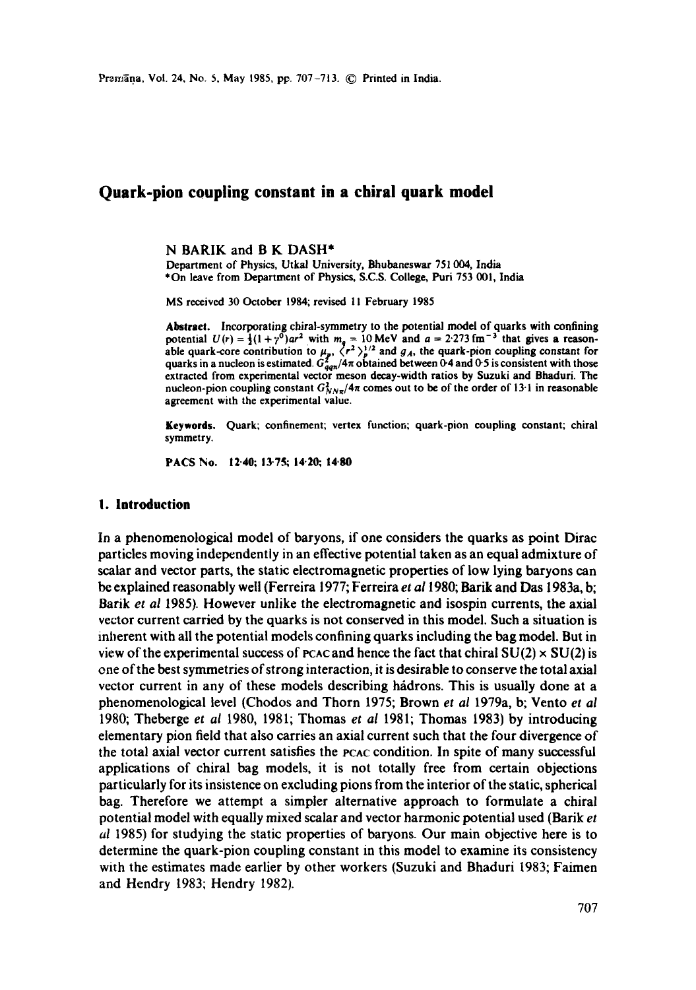# **Quark-pion coupling constant in a chiral quark model**

N BARIK and B K DASH\*

Department of Physics, Utkal University, Bhubaneswar 751 004, India \*On leave from Department of Physics, S.C.S. College, Purl 753 001, India

MS received 30 October 1984; revised 11 February 1985

**Abstract.** Incorporating chiral-symmetry to the potential model of quarks with confining potential  $U(r) = \frac{1}{2}(1 + r^0)ar^2$  with  $m_a = 10$  MeV and  $a = 2.273$  fm<sup>-3</sup> that gives a reasonable quark-core contribution to  $\mu_p$ ,  $\langle r^2 \rangle_p^{1/2}$  and  $g_A$ , the quark-pion coupling constant for quarks in a nucleon is estimated.  $G_{qgn}^2/4\pi$  obtained between 0-4 and 0-5 is consistent with those extracted from experimental vector meson dceay-width ratios by Suzuki and Bhaduri. The nucleon-pion coupling constant  $G_{NN\pi}^2/4\pi$  comes out to be of the order of 13<sup>-1</sup> in reasonable agreement with the experimental value.

Keywords. Quark; confinement; vertex function; quark-pion coupling constant; chiral symmetry.

**PACS No. 12-40; 13-75; 14.20; 14.80** 

#### **I. Introduction**

In a phenomenological model of baryons, if one considers the quarks as point Dirac particles moving independently in an effective potential taken as an equal admixture of scalar and vector parts, the static electromagnetic properties of low lying baryons can be explained reasonably well (Ferreira 1977; Ferreira *et ai* 1980; Barik and Das 1983a, b; Barik *et al* 1985). However unlike the electromagnetic and isospin currents, the axial vector current carried by the quarks is not conserved in this model. Such a situation is inherent with all the potential models confining quarks including the bag model. But in view of the experimental success of poace and hence the fact that chiral  $SU(2) \times SU(2)$  is one of the best symmetries of strong interaction, it is desirable to conserve the total axial vector current in any of these models describing hadrons. This is usually done at a phenomenological level (Chodos and Thorn 1975; Brown *et al* 1979a, b; Vento *et al*  1980; Theberge *et al* 1980, 1981; Thomas *et al* 1981; Thomas 1983) by introducing elementary pion field that also carries an axial current such that the four divergence of the total axial vector current satisfies the PCAC condition. In spite of many successful applications of chiral bag models, it is not totally free from certain objections particularly for its insistence on excluding pions from the interior of the static, spherical bag. Therefore we attempt a simpler alternative approach to formulate a chiral potential model with equally mixed scalar and vector harmonic potential used (Barik *et al* 1985) for studying the static properties of baryons. Our main objective here is to determine the quark-pion coupling constant in this model to examine its consistency with the estimates made earlier by other workers (Suzuki and Bhaduri 1983; Faimen and Hendry 1983; Hendry 1982).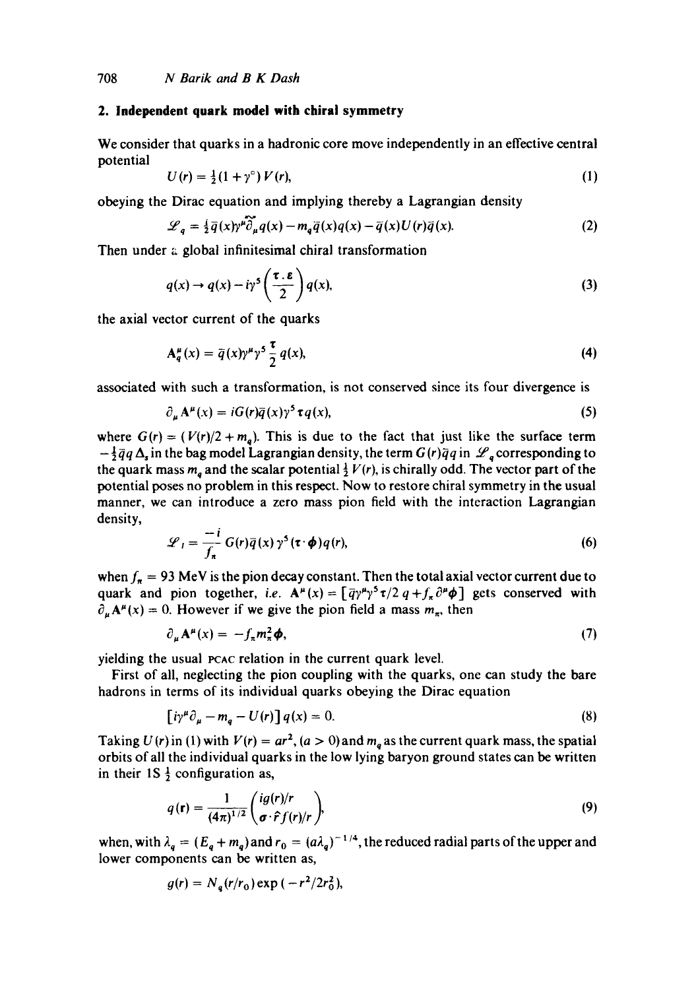# **2. Independent quark model with chiral symmetry**

We consider that quarks in a hadronic core move independently in an effective central potential

$$
U(r) = \frac{1}{2}(1+\gamma^{\circ})V(r),\tag{1}
$$

obeying the Dirac equation and implying thereby a Lagrangian density

$$
\mathscr{L}_q = \frac{i}{2}\overline{q}(x)\gamma^{\mu}\overline{\partial}_{\mu}q(x) - m_q\overline{q}(x)q(x) - \overline{q}(x)U(r)\overline{q}(x).
$$
 (2)

Then under a global infinitesimal chiral transformation

$$
q(x) \to q(x) - i\gamma^5 \left(\frac{\tau \cdot \varepsilon}{2}\right) q(x),\tag{3}
$$

the axial vector current of the quarks

$$
A_q^{\mu}(x) = \bar{q}(x)\gamma^{\mu}\gamma^5 \frac{\tau}{2}q(x), \qquad (4)
$$

associated with such a transformation, is not conserved since its four divergence is

$$
\partial_{\mu} \mathbf{A}^{\mu}(x) = i G(r) \overline{q}(x) \gamma^{5} \tau q(x), \qquad (5)
$$

where  $G(r) = (V(r)/2 + m<sub>a</sub>)$ . This is due to the fact that just like the surface term  $-\frac{1}{2}\bar{q}q\Delta_s$  in the bag model Lagrangian density, the term  $G(r)\bar{q}q$  in  $\mathscr{L}_a$  corresponding to the quark mass  $m_a$  and the scalar potential  $\frac{1}{2} V(r)$ , is chirally odd. The vector part of the potential poses no problem in this respect. Now to restore chiral symmetry in the usual manner, we can introduce a zero mass pion field with the interaction Lagrangian density,

$$
\mathcal{L}_I = \frac{-i}{f_\pi} G(r) \bar{q}(x) \gamma^5(\tau \cdot \phi) q(r), \qquad (6)
$$

when  $f_{\pi} = 93$  MeV is the pion decay constant. Then the total axial vector current due to quark and pion together, *i.e.*  $A^{\mu}(x) = [\bar{q}\gamma^{\mu}\gamma^{5}\tau/2 q + f_{\pi}\partial^{\mu}\phi]$  gets conserved with  $\partial_{\mu}A^{\mu}(x) = 0$ . However if we give the pion field a mass  $m_{\pi}$ , then

$$
\partial_{\mu} \mathbf{A}^{\mu}(x) = -f_{\pi} m_{\pi}^2 \phi, \tag{7}
$$

yielding the usual pcac relation in the current quark level.

First of all, neglecting the pion coupling with the quarks, one can study the bare hadrons in terms of its individual quarks obeying the Dirac equation

$$
\left[ i\gamma^{\mu}\partial_{\mu} - m_{q} - U(r) \right] q(x) = 0. \tag{8}
$$

Taking  $U(r)$  in (1) with  $V(r) = ar^2$ ,  $(a > 0)$  and  $m_a$  as the current quark mass, the spatial orbits of all the individual quarks in the low lying baryon ground states can be written in their  $1S\frac{1}{2}$  configuration as,

$$
q(\mathbf{r}) = \frac{1}{(4\pi)^{1/2}} \left( \frac{ig(r)/r}{\sigma \cdot \hat{r} f(r)/r} \right),\tag{9}
$$

when, with  $\lambda_q = (E_q + m_q)$  and  $r_0 = (a\lambda_q)^{-1/4}$ , the reduced radial parts of the upper and lower components can be written as,

$$
g(r) = N_{q}(r/r_{0}) \exp{(-r^{2}/2r_{0}^{2})},
$$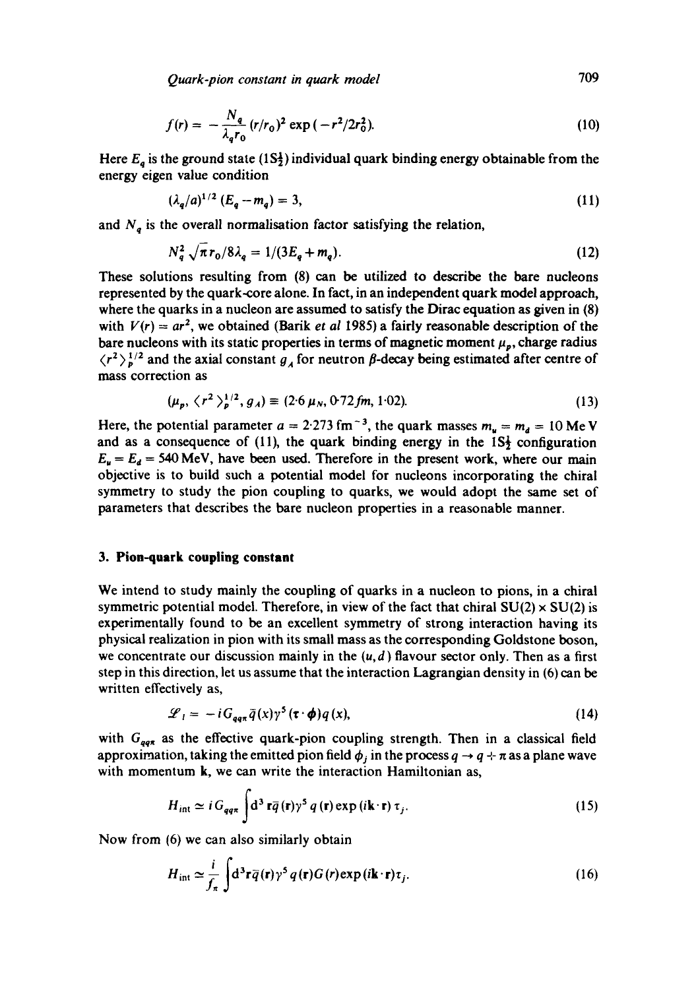*Quark-pion constant in quark model* 709

$$
f(r) = -\frac{N_q}{\lambda_q r_0} (r/r_0)^2 \exp(-r^2/2r_0^2).
$$
 (10)

Here  $E_q$  is the ground state (1S<sup>1</sup>) individual quark binding energy obtainable from the energy eigen value condition

$$
(\lambda_q/a)^{1/2} (E_q - m_q) = 3, \tag{11}
$$

and  $N_q$  is the overall normalisation factor satisfying the relation,

$$
N_q^2 \sqrt{\pi r_0 / 8\lambda_q} = 1/(3E_q + m_q). \tag{12}
$$

These solutions resulting from (8) can be utilized to describe the bare nucleons represented by the quark-core alone. In fact, in an independent quark model approach, where the quarks in a nucleon are assumed to satisfy the Dirac equation as given in (8) with  $V(r) = ar^2$ , we obtained (Barik *et al* 1985) a fairly reasonable description of the bare nucleons with its static properties in terms of magnetic moment  $\mu_p$ , charge radius  $\langle r^2 \rangle_b^{1/2}$  and the axial constant  $g_A$  for neutron  $\beta$ -decay being estimated after centre of mass correction as

$$
(\mu_p, \langle r^2 \rangle_p^{1/2}, g_A) \equiv (2.6 \,\mu_N, 0.72 \, \text{fm}, 1.02). \tag{13}
$$

Here, the potential parameter  $a = 2.273$  fm<sup>-3</sup>, the quark masses  $m_u = m_d = 10$  Me V and as a consequence of (11), the quark binding energy in the  $1S<sub>2</sub>$  configuration  $E_u = E_d = 540$  MeV, have been used. Therefore in the present work, where our main objective is to build such a potential model for nucleons incorporating the chiral symmetry to study the pion coupling to quarks, we would adopt the same set of parameters that describes the bare nucleon properties in a reasonable manner.

# **3. Pion-quark coupling constant**

We intend to study mainly the coupling of quarks in a nucleon to pions, in a chiral symmetric potential model. Therefore, in view of the fact that chiral  $SU(2) \times SU(2)$  is experimentally found to be an excellent symmetry of strong interaction having its physical realization in pion with its small mass as the corresponding Goldstone boson, we concentrate our discussion mainly in the  $(u, d)$  flavour sector only. Then as a first step in this direction, let us assume that the interaction Lagrangian density in (6) can be written effectively as,

$$
\mathcal{L}_1 = -i G_{qq\pi} \bar{q}(x) \gamma^5 (\tau \cdot \phi) q(x), \qquad (14)
$$

with  $G_{qq\pi}$  as the effective quark-pion coupling strength. Then in a classical field approximation, taking the emitted pion field  $\phi_j$  in the process  $q \to q + \pi$  as a plane wave with momentum k, we can write the interaction Hamiltonian as,

$$
H_{int} \simeq i G_{qq\pi} \int d^3 \mathbf{r} \bar{q}(\mathbf{r}) \gamma^5 q(\mathbf{r}) \exp(i\mathbf{k} \cdot \mathbf{r}) \tau_j.
$$
 (15)

Now from (6) we can also similarly obtain

$$
H_{\rm int} \simeq \frac{i}{f_{\pi}} \int d^{3} \mathbf{r} \, \widetilde{q}(\mathbf{r}) \gamma^{5} \, q(\mathbf{r}) G(\mathbf{r}) \exp(i \mathbf{k} \cdot \mathbf{r}) \tau_{j}.
$$
 (16)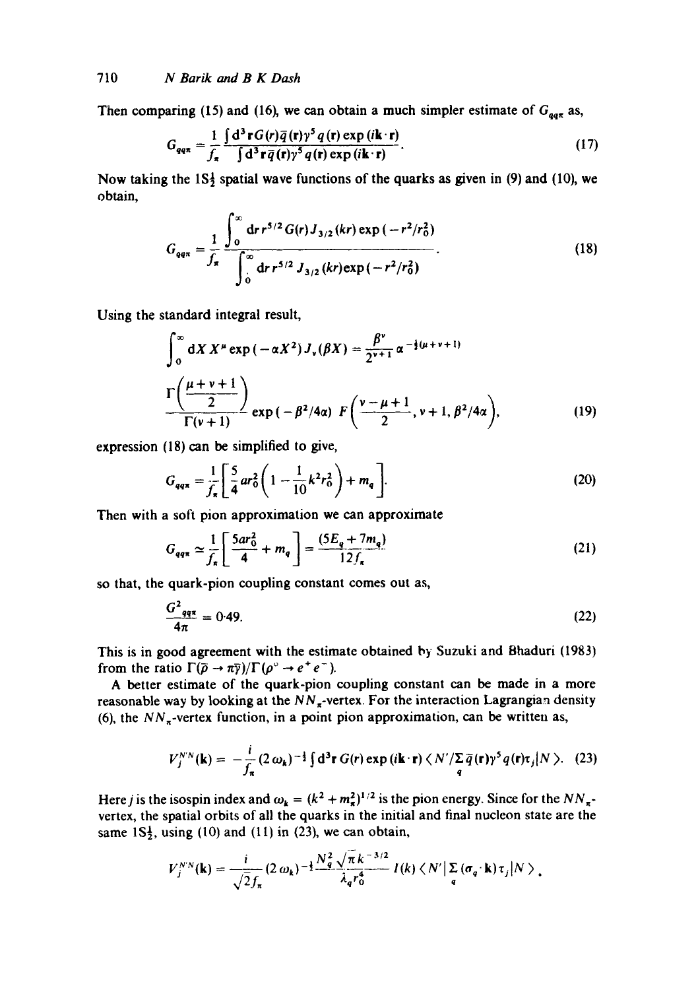Then comparing (15) and (16), we can obtain a much simpler estimate of  $G_{\text{part}}$  as,

$$
G_{qq\pi} = \frac{1}{f_{\pi}} \frac{\int d^3 \mathbf{r} G(\mathbf{r}) \bar{q}(\mathbf{r}) \gamma^5 q(\mathbf{r}) \exp(i\mathbf{k} \cdot \mathbf{r})}{\int d^3 \mathbf{r} \bar{q}(\mathbf{r}) \gamma^5 q(\mathbf{r}) \exp(i\mathbf{k} \cdot \mathbf{r})}.
$$
 (17)

Now taking the  $1S_2^1$  spatial wave functions of the quarks as given in (9) and (10), we obtain,

$$
G_{qq\pi} = \frac{1}{f_{\pi}} \frac{\int_0^{\infty} dr r^{5/2} G(r) J_{3/2} (kr) \exp(-r^2/r_0^2)}{\int_0^{\infty} dr r^{5/2} J_{3/2} (kr) \exp(-r^2/r_0^2)}.
$$
 (18)

Using the standard integral result,

$$
\int_0^\infty dX \, X^\mu \exp(-\alpha X^2) \, J_\nu(\beta X) = \frac{\beta^\nu}{2^{\nu+1}} \, \alpha^{-\frac{1}{2}(\mu+\nu+1)} \\
\Gamma\left(\frac{\mu+\nu+1}{2}\right) \exp(-\beta^2/4\alpha) \, F\left(\frac{\nu-\mu+1}{2}, \nu+1, \beta^2/4\alpha\right),\tag{19}
$$

expression  $(18)$  can be simplified to give,

$$
G_{qq\pi} = \frac{1}{f_{\pi}} \left[ \frac{5}{4} ar_0^2 \left( 1 - \frac{1}{10} k^2 r_0^2 \right) + m_q \right].
$$
 (20)

Then with a soft pion approximation we can approximate

$$
G_{qq\pi} \simeq \frac{1}{f_{\pi}} \left[ \frac{5ar_0^2}{4} + m_q \right] = \frac{(5E_q + 7m_q)}{12f_{\pi}}
$$
 (21)

so that, the quark-pion coupling constant comes out as,

$$
\frac{G^2_{qq\pi}}{4\pi} = 0.49. \tag{22}
$$

This is in good agreement with the estimate obtained by Suzuki and Bhaduri (1983) from the ratio  $\Gamma(\bar{p} \to \pi \bar{\gamma})/\Gamma(\rho^{\circ} \to e^+e^-)$ .

A better estimate of the quark-pion coupling constant can be made in a more reasonable way by looking at the  $NN_{\pi}$ -vertex. For the interaction Lagrangian density (6), the  $NN_{\pi}$ -vertex function, in a point pion approximation, can be written as,

$$
V_j^{NN}(\mathbf{k}) = -\frac{i}{f_\pi} (2 \omega_\mathbf{k})^{-\frac{1}{2}} \int d^3 \mathbf{r} G(\mathbf{r}) \exp(i \mathbf{k} \cdot \mathbf{r}) \langle N'/\Sigma \, \overline{q}(\mathbf{r}) \gamma^5 q(\mathbf{r}) \tau_j | N \rangle. \tag{23}
$$

Here *j* is the isospin index and  $\omega_k = (k^2 + m_x^2)^{1/2}$  is the pion energy. Since for the NN<sub> $\pi$ </sub>vertex, the spatial orbits of all the quarks in the initial and final nucleon state are the same  $1S_2^1$ , using (10) and (11) in (23), we can obtain,

$$
V_j^{NN}(\mathbf{k}) = \frac{i}{\sqrt{2}f_\pi} (2 \omega_\mathbf{k})^{-\frac{1}{2}} \frac{N_q^2 \sqrt{\pi} k^{-3/2}}{\lambda_q r_0^4} I(k) \langle N' | \sum_q (\sigma_q \cdot \mathbf{k}) \tau_j | N \rangle,
$$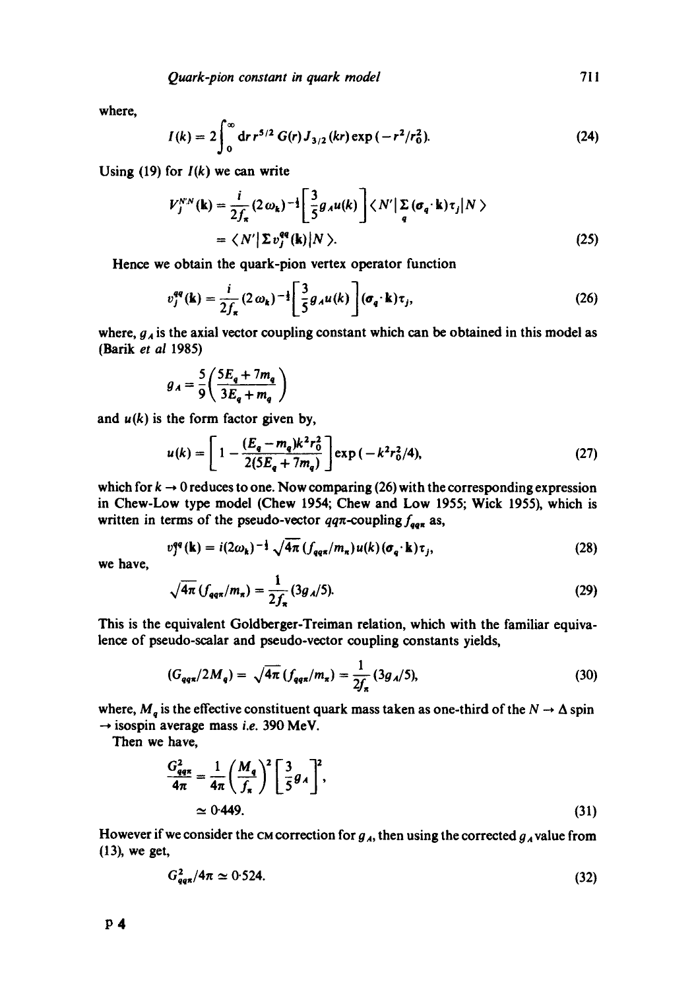where,

$$
I(k) = 2 \int_0^\infty dr \, r^{5/2} \, G(r) \, J_{3/2} \left( kr \right) \exp \left( -r^2/r_0^2 \right). \tag{24}
$$

Using  $(19)$  for  $I(k)$  we can write

$$
V_j^{N,N}(\mathbf{k}) = \frac{i}{2f_\pi} (2 \omega_\mathbf{k})^{-\frac{1}{2}} \left[ \frac{3}{5} g_A u(\mathbf{k}) \right] \langle N' | \sum_q (\sigma_q \cdot \mathbf{k}) \tau_j | N \rangle
$$
  
=  $\langle N' | \Sigma v_j^{eq}(\mathbf{k}) | N \rangle.$  (25)

Hence we obtain the quark-pion vertex operator function

$$
v_j^{qq}(\mathbf{k}) = \frac{i}{2f_\pi} (2 \omega_\mathbf{k})^{-\frac{1}{2}} \left[ \frac{3}{5} g_A u(k) \right] (\sigma_q \cdot \mathbf{k}) \tau_j,
$$
 (26)

where,  $g_A$  is the axial vector coupling constant which can be obtained in this model as (Batik et *al* 1985)

$$
g_A = \frac{5}{9} \left( \frac{5E_q + 7m_q}{3E_q + m_q} \right)
$$

and  $u(k)$  is the form factor given by,

$$
u(k) = \left[1 - \frac{(E_q - m_q)k^2 r_0^2}{2(5E_q + 7m_q)}\right] \exp\left(-k^2 r_0^2/4\right),\tag{27}
$$

which for  $k \to 0$  reduces to one. Now comparing (26) with the corresponding expression in Chew-Low type model (Chew 1954; Chew and Low 1955; Wick 1955), which is written in terms of the pseudo-vector  $qq\pi$ -coupling  $f_{qq\pi}$  as,

$$
v_1^{qq}(\mathbf{k}) = i(2\omega_\mathbf{k})^{-\frac{1}{2}}\sqrt{4\pi} \left(f_{qq\pi}/m_\pi\right)u(k)\left(\sigma_q \cdot \mathbf{k}\right)\tau_j,\tag{28}
$$

we have,

$$
\sqrt{4\pi} \left( f_{\text{qq}\pi} / m_{\pi} \right) = \frac{1}{2f_{\pi}} \left( 3g_A / 5 \right). \tag{29}
$$

This is the equivalent Goldberger-Treiman relation, which with the familiar equivalence of pseudo-scalar and pseudo-vector coupling constants yields,

$$
(G_{qq\pi}/2M_q) = \sqrt{4\pi} \left( f_{qq\pi}/m_\pi \right) = \frac{1}{2f_\pi} \left( 3g_A/5 \right), \tag{30}
$$

where,  $M_q$  is the effective constituent quark mass taken as one-third of the  $N \to \Delta$  spin  $\rightarrow$  isospin average mass *i.e.* 390 MeV.

Then we have,

$$
\frac{G_{qq\pi}^2}{4\pi} = \frac{1}{4\pi} \left(\frac{M_q}{f_\pi}\right)^2 \left[\frac{3}{5}g_A\right]^2,
$$
  
\n
$$
\approx 0.449.
$$
\n(31)

However if we consider the CM correction for  $g_A$ , then using the corrected  $g_A$  value from (13), we get,

$$
G_{qq\pi}^2/4\pi \simeq 0.524. \tag{32}
$$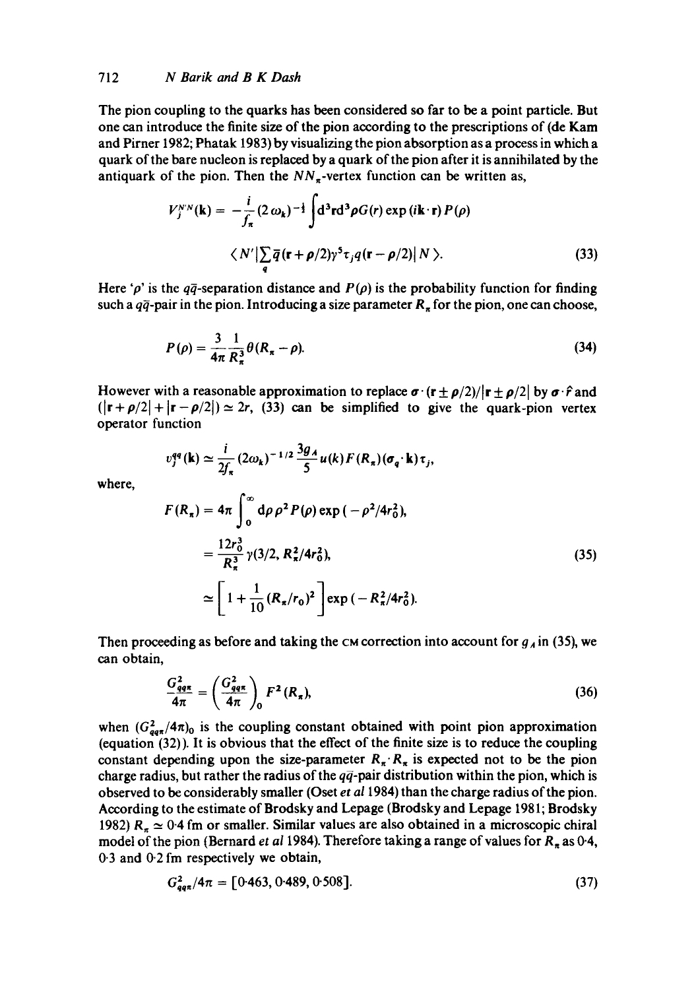### *712 N Barik and B K Dash*

where,

The pion coupling to the quarks has been considered so far to be a point particle. But one can introduce the finite size of the pion according to the prescriptions of (de Kam and Pirner 1982; Phatak 1983) by visualizing the pion absorption as a process in which a quark of the bare nucleon is replaced by a quark of the pion after it is annihilated by the antiquark of the pion. Then the  $NN<sub>\pi</sub>$ -vertex function can be written as,

$$
V_j^{NN}(\mathbf{k}) = -\frac{i}{f_\pi} (2 \omega_\mathbf{k})^{-\frac{1}{2}} \int \mathrm{d}^3 \mathbf{r} \mathrm{d}^3 \rho G(r) \exp(i\mathbf{k} \cdot \mathbf{r}) P(\rho)
$$
  

$$
\langle N' | \sum_q \overline{q} (\mathbf{r} + \rho/2) \gamma^5 \tau_j q (\mathbf{r} - \rho/2) | N \rangle.
$$
 (33)

Here 'p' is the  $q\bar{q}$ -separation distance and  $P(\rho)$  is the probability function for finding such a  $q\bar{q}$ -pair in the pion. Introducing a size parameter  $R_n$  for the pion, one can choose,

$$
P(\rho) = \frac{3}{4\pi} \frac{1}{R_{\pi}^3} \theta(R_{\pi} - \rho).
$$
 (34)

However with a reasonable approximation to replace  $\sigma \cdot (\mathbf{r} \pm \rho/2)/|\mathbf{r} \pm \rho/2|$  by  $\sigma \cdot \hat{r}$  and  $(|{\bf r}+\rho/2|+|{\bf r}-\rho/2|) \simeq 2r$ , (33) can be simplified to give the quark-pion vertex operator function

$$
v_j^{qq}(\mathbf{k}) \simeq \frac{i}{2f_\pi} (2\omega_k)^{-1/2} \frac{3g_A}{5} u(\mathbf{k}) F(R_\pi) (\sigma_q \cdot \mathbf{k}) \tau_j,
$$
  

$$
F(R_\pi) = 4\pi \int_0^\infty d\rho \rho^2 P(\rho) \exp(-\rho^2/4r_0^2),
$$

$$
= \frac{12r_0^3}{R_\pi^3} \gamma(3/2, R_\pi^2/4r_0^2),
$$
  
 
$$
\simeq \left[1 + \frac{1}{10} (R_\pi/r_0)^2\right] \exp(-R_\pi^2/4r_0^2).
$$
 (35)

Then proceeding as before and taking the  $\alpha$  correction into account for  $g_A$  in (35), we can obtain,

$$
\frac{G_{qq\pi}^2}{4\pi} = \left(\frac{G_{qq\pi}^2}{4\pi}\right)_0 F^2(R_\pi),\tag{36}
$$

when  $(G_{qq\pi}^2/4\pi)_0$  is the coupling constant obtained with point pion approximation (equation (32)). It is obvious that the effect of the finite size is to reduce the coupling constant depending upon the size-parameter  $R_{\pi}$   $R_{\pi}$  is expected not to be the pion charge radius, but rather the radius of the  $q\bar{q}$ -pair distribution within the pion, which is observed to be considerably smaller (Oset *et a11984)* than the charge radius of the pion. According to the estimate of Brodsky and Lepage (Brodsky and Lepage 198 l; Brodsky 1982)  $R_\pi \simeq 0.4$  fm or smaller. Similar values are also obtained in a microscopic chiral model of the pion (Bernard *et al 1984)*. Therefore taking a range of values for R<sub>n</sub> as 0-4, 0.3 and 0.2 fm respectively we obtain,

$$
G_{qq\pi}^2/4\pi = [0.463, 0.489, 0.508].
$$
\n(37)